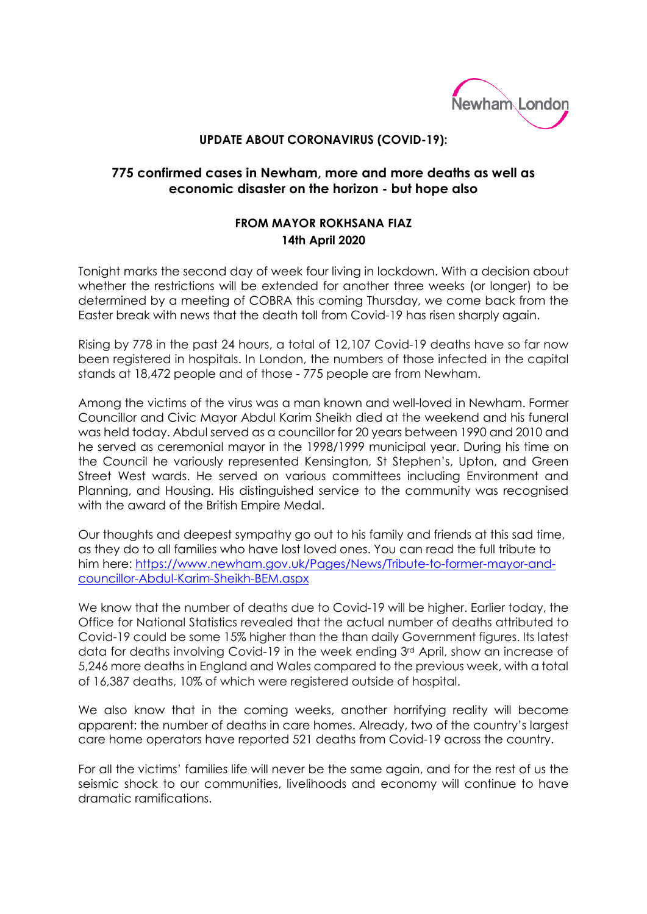

## **UPDATE ABOUT CORONAVIRUS (COVID-19):**

## **775 confirmed cases in Newham, more and more deaths as well as economic disaster on the horizon - but hope also**

## **FROM MAYOR ROKHSANA FIAZ 14th April 2020**

Tonight marks the second day of week four living in lockdown. With a decision about whether the restrictions will be extended for another three weeks (or longer) to be determined by a meeting of COBRA this coming Thursday, we come back from the Easter break with news that the death toll from Covid-19 has risen sharply again.

Rising by 778 in the past 24 hours, a total of 12,107 Covid-19 deaths have so far now been registered in hospitals. In London, the numbers of those infected in the capital stands at 18,472 people and of those - 775 people are from Newham.

Among the victims of the virus was a man known and well-loved in Newham. Former Councillor and Civic Mayor Abdul Karim Sheikh died at the weekend and his funeral was held today. Abdul served as a councillor for 20 years between 1990 and 2010 and he served as ceremonial mayor in the 1998/1999 municipal year. During his time on the Council he variously represented Kensington, St Stephen's, Upton, and Green Street West wards. He served on various committees including Environment and Planning, and Housing. His distinguished service to the community was recognised with the award of the British Empire Medal.

Our thoughts and deepest sympathy go out to his family and friends at this sad time, as they do to all families who have lost loved ones. You can read the full tribute to him here: [https://www.newham.gov.uk/Pages/News/Tribute-to-former-mayor-and](https://www.newham.gov.uk/Pages/News/Tribute-to-former-mayor-and-councillor-Abdul-Karim-Sheikh-BEM.aspx)[councillor-Abdul-Karim-Sheikh-BEM.aspx](https://www.newham.gov.uk/Pages/News/Tribute-to-former-mayor-and-councillor-Abdul-Karim-Sheikh-BEM.aspx)

We know that the number of deaths due to Covid-19 will be higher. Earlier today, the Office for National Statistics revealed that the actual number of deaths attributed to Covid-19 could be some 15% higher than the than daily Government figures. Its latest data for deaths involving Covid-19 in the week ending 3rd April, show an increase of 5,246 more deaths in England and Wales compared to the previous week, with a total of 16,387 deaths, 10% of which were registered outside of hospital.

We also know that in the coming weeks, another horrifying reality will become apparent: the number of deaths in care homes. Already, two of the country's largest care home operators have reported 521 deaths from Covid-19 across the country.

For all the victims' families life will never be the same again, and for the rest of us the seismic shock to our communities, livelihoods and economy will continue to have dramatic ramifications.